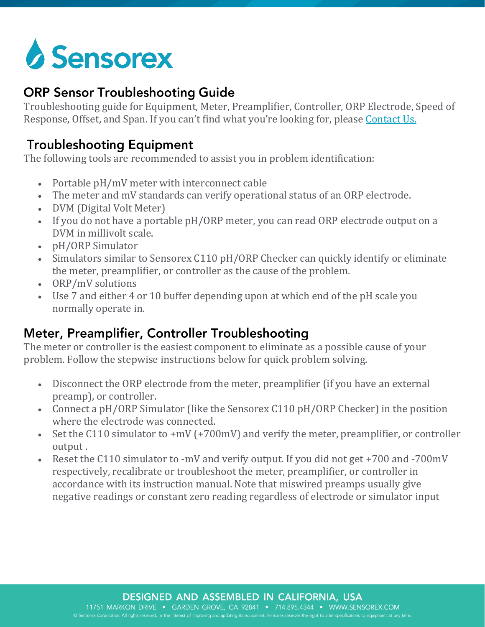# **Sensorex**

#### **ORP Sensor Troubleshooting Guide**

Troubleshooting guide for Equipment, Meter, Preamplifier, Controller, ORP Electrode, Speed of Response, Offset, and Span. If you can't find what you're looking for, please [Contact Us.](https://sensorex.com/contact)

## **Troubleshooting Equipment**

The following tools are recommended to assist you in problem identification:

- Portable pH/mV meter with interconnect cable
- The meter and mV standards can verify operational status of an ORP electrode.
- DVM (Digital Volt Meter)
- If you do not have a portable pH/ORP meter, you can read ORP electrode output on a DVM in millivolt scale.
- pH/ORP Simulator
- Simulators similar to Sensorex C110 pH/ORP Checker can quickly identify or eliminate the meter, preamplifier, or controller as the cause of the problem.
- ORP/mV solutions
- Use 7 and either 4 or 10 buffer depending upon at which end of the pH scale you normally operate in.

## Meter, Preamplifier, Controller Troubleshooting

The meter or controller is the easiest component to eliminate as a possible cause of your problem. Follow the stepwise instructions below for quick problem solving.

- Disconnect the ORP electrode from the meter, preamplifier (if you have an external preamp), or controller.
- Connect a pH/ORP Simulator (like the Sensorex C110 pH/ORP Checker) in the position where the electrode was connected.
- Set the C110 simulator to +mV (+700mV) and verify the meter, preamplifier, or controller output .
- Reset the C110 simulator to -mV and verify output. If you did not get +700 and -700mV respectively, recalibrate or troubleshoot the meter, preamplifier, or controller in accordance with its instruction manual. Note that miswired preamps usually give negative readings or constant zero reading regardless of electrode or simulator input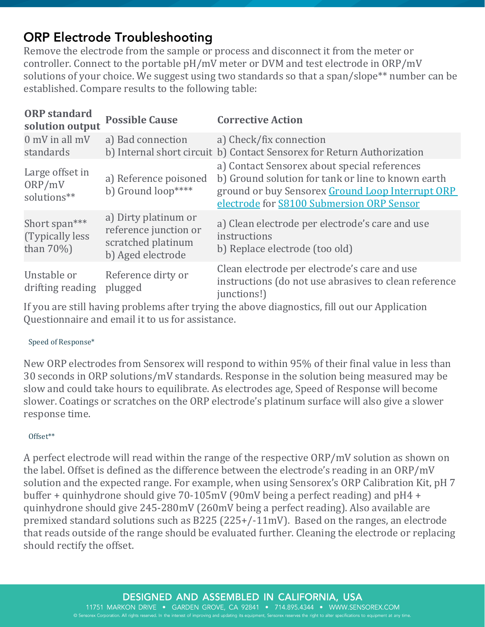## **ORP Electrode Troubleshooting**

Remove the electrode from the sample or process and disconnect it from the meter or controller. Connect to the portable pH/mV meter or DVM and test electrode in ORP/mV solutions of your choice. We suggest using two standards so that a span/slope<sup>\*\*</sup> number can be established. Compare results to the following table:

| <b>ORP</b> standard<br>solution output             | <b>Possible Cause</b>                                                                    | <b>Corrective Action</b>                                                                                                                                                                            |
|----------------------------------------------------|------------------------------------------------------------------------------------------|-----------------------------------------------------------------------------------------------------------------------------------------------------------------------------------------------------|
| $0$ mV in all mV<br>standards                      | a) Bad connection                                                                        | a) Check/fix connection<br>b) Internal short circuit b) Contact Sensorex for Return Authorization                                                                                                   |
| Large offset in<br>ORP/mV<br>solutions**           | a) Reference poisoned<br>b) Ground loop****                                              | a) Contact Sensorex about special references<br>b) Ground solution for tank or line to known earth<br>ground or buy Sensorex Ground Loop Interrupt ORP<br>electrode for S8100 Submersion ORP Sensor |
| Short span***<br>(Typically less)<br>than $70\%$ ) | a) Dirty platinum or<br>reference junction or<br>scratched platinum<br>b) Aged electrode | a) Clean electrode per electrode's care and use<br>instructions<br>b) Replace electrode (too old)                                                                                                   |
| Unstable or<br>drifting reading                    | Reference dirty or<br>plugged                                                            | Clean electrode per electrode's care and use<br>instructions (do not use abrasives to clean reference<br>junctions!)                                                                                |

If you are still having problems after trying the above diagnostics, fill out our Application Questionnaire and email it to us for assistance.

#### Speed of Response\*

New ORP electrodes from Sensorex will respond to within 95% of their final value in less than 30 seconds in ORP solutions/mV standards. Response in the solution being measured may be slow and could take hours to equilibrate. As electrodes age, Speed of Response will become slower. Coatings or scratches on the ORP electrode's platinum surface will also give a slower response time.

#### Offset\*\*

A perfect electrode will read within the range of the respective ORP/mV solution as shown on the label. Offset is defined as the difference between the electrode's reading in an ORP/mV solution and the expected range. For example, when using Sensorex's ORP Calibration Kit, pH 7 buffer + quinhydrone should give 70-105mV (90mV being a perfect reading) and pH4 + quinhydrone should give 245-280mV (260mV being a perfect reading). Also available are premixed standard solutions such as B225 (225+/-11mV). Based on the ranges, an electrode that reads outside of the range should be evaluated further. Cleaning the electrode or replacing should rectify the offset.